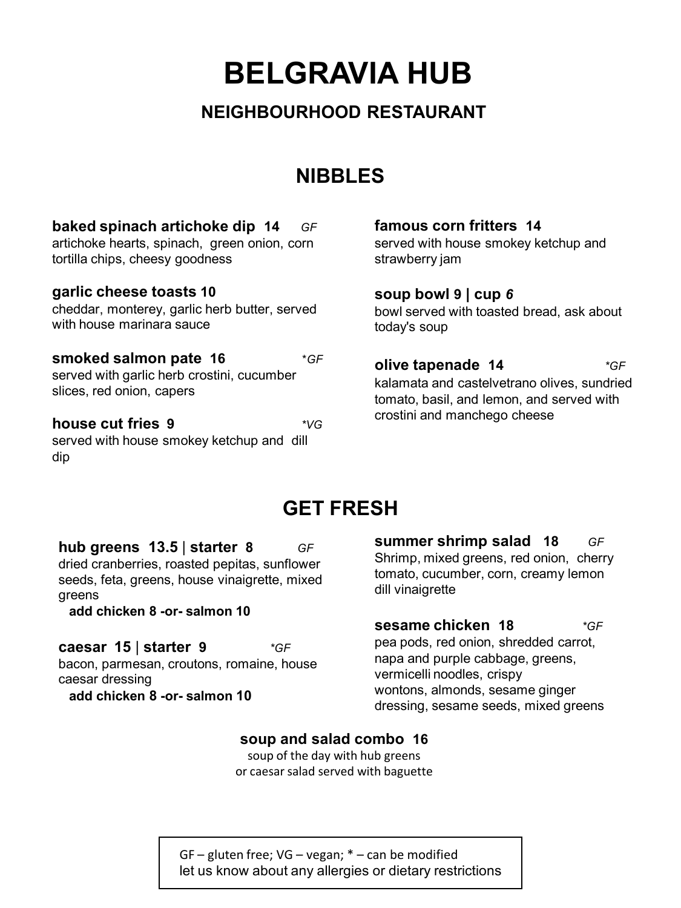**BELGRAVIA HUB**

### **NEIGHBOURHOOD RESTAURANT**

### **NIBBLES**

| baked spinach artichoke dip 14<br>GF<br>artichoke hearts, spinach, green onion, corn<br>tortilla chips, cheesy goodness | famous corn fritters 14<br>served with house smokey ketchup and<br>strawberry jam                                                                    |
|-------------------------------------------------------------------------------------------------------------------------|------------------------------------------------------------------------------------------------------------------------------------------------------|
| garlic cheese toasts 10<br>cheddar, monterey, garlic herb butter, served<br>with house marinara sauce                   | soup bowl $9$   cup 6<br>bowl served with toasted bread, ask about<br>today's soup                                                                   |
| smoked salmon pate 16<br>$*GF$<br>served with garlic herb crostini, cucumber<br>slices, red onion, capers               | olive tapenade 14<br>*GF<br>kalamata and castelvetrano olives, sundried<br>tomato, basil, and lemon, and served with<br>crostini and manchego cheese |
| house cut fries 9<br>*VG<br>served with house smokey ketchup and dill                                                   |                                                                                                                                                      |

### **GET FRESH**

**hub greens 13.5** | **starter 8** *GF* dried cranberries, roasted pepitas, sunflower seeds, feta, greens, house vinaigrette, mixed greens

**add chicken 8 -or- salmon 10**

dip

**caesar 15** | **starter 9** *\*GF* bacon, parmesan, croutons, romaine, house caesar dressing **add chicken 8 -or- salmon 10**

**summer shrimp salad 18** *GF* Shrimp, mixed greens, red onion, cherry tomato, cucumber, corn, creamy lemon dill vinaigrette

**sesame chicken 18** *\*GF*  pea pods, red onion, shredded carrot, napa and purple cabbage, greens, vermicelli noodles, crispy wontons, almonds, sesame ginger dressing, sesame seeds, mixed greens

#### **soup and salad combo 16**

soup of the day with hub greens or caesar salad served with baguette

GF – gluten free; VG – vegan; \* – can be modified let us know about any allergies or dietary restrictions